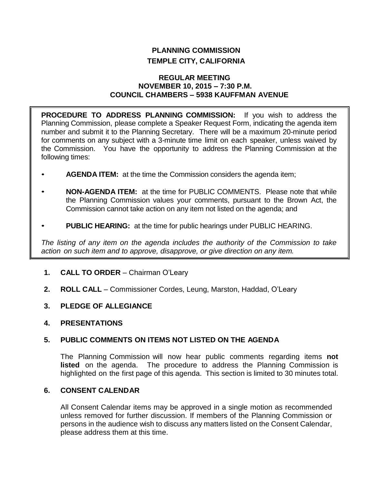# **PLANNING COMMISSION TEMPLE CITY, CALIFORNIA**

### **REGULAR MEETING NOVEMBER 10, 2015 – 7:30 P.M. COUNCIL CHAMBERS – 5938 KAUFFMAN AVENUE**

**PROCEDURE TO ADDRESS PLANNING COMMISSION:** If you wish to address the Planning Commission, please complete a Speaker Request Form, indicating the agenda item number and submit it to the Planning Secretary. There will be a maximum 20-minute period for comments on any subject with a 3-minute time limit on each speaker, unless waived by the Commission. You have the opportunity to address the Planning Commission at the following times:

- **AGENDA ITEM:** at the time the Commission considers the agenda item;
- **NON-AGENDA ITEM:** at the time for PUBLIC COMMENTS. Please note that while the Planning Commission values your comments, pursuant to the Brown Act, the Commission cannot take action on any item not listed on the agenda; and
- **PUBLIC HEARING:** at the time for public hearings under PUBLIC HEARING.

*The listing of any item on the agenda includes the authority of the Commission to take action on such item and to approve, disapprove, or give direction on any item.*

- **1. CALL TO ORDER** Chairman O'Leary
- **2. ROLL CALL** Commissioner Cordes, Leung, Marston, Haddad, O'Leary
- **3. PLEDGE OF ALLEGIANCE**
- **4. PRESENTATIONS**

## **5. PUBLIC COMMENTS ON ITEMS NOT LISTED ON THE AGENDA**

The Planning Commission will now hear public comments regarding items **not listed** on the agenda. The procedure to address the Planning Commission is highlighted on the first page of this agenda. This section is limited to 30 minutes total.

# **6. CONSENT CALENDAR**

All Consent Calendar items may be approved in a single motion as recommended unless removed for further discussion. If members of the Planning Commission or persons in the audience wish to discuss any matters listed on the Consent Calendar, please address them at this time.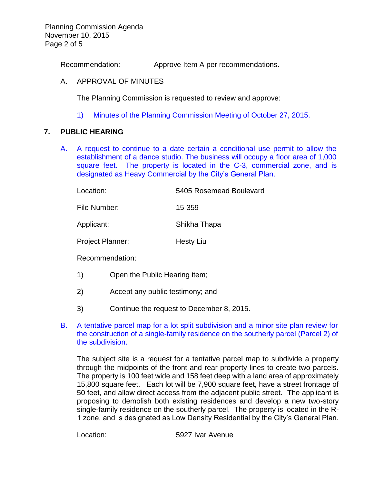Planning Commission Agenda November 10, 2015 Page 2 of 5

Recommendation: Approve Item A per recommendations.

### A. APPROVAL OF MINUTES

The Planning Commission is requested to review and approve:

1) Minutes of the [Planning Commission Meeting](http://ca-templecity.civicplus.com/DocumentCenter/View/4835) of October 27, 2015.

### **7. PUBLIC HEARING**

A. [A request to continue to a date certain a conditional use permit to allow the](http://ca-templecity.civicplus.com/DocumentCenter/View/4832)  [establishment of a dance studio. The business will occupy a floor area of 1,000](http://ca-templecity.civicplus.com/DocumentCenter/View/4832)  [square feet. The property is located in the C-3, commercial zone, and is](http://ca-templecity.civicplus.com/DocumentCenter/View/4832)  [designated as Heavy Commercial by the City's General Plan.](http://ca-templecity.civicplus.com/DocumentCenter/View/4832)

| Location:               | 5405 Rosemead Boulevard |
|-------------------------|-------------------------|
| File Number:            | 15-359                  |
| Applicant:              | Shikha Thapa            |
| <b>Project Planner:</b> | <b>Hesty Liu</b>        |
| Recommendation:         |                         |

- 1) Open the Public Hearing item;
- 2) Accept any public testimony; and
- 3) Continue the request to December 8, 2015.
- B. [A tentative parcel map for a lot split subdivision and a minor site plan review for](http://ca-templecity.civicplus.com/DocumentCenter/View/4833)  [the construction of a single-family residence on the southerly parcel \(Parcel 2\) of](http://ca-templecity.civicplus.com/DocumentCenter/View/4833)  [the subdivision.](http://ca-templecity.civicplus.com/DocumentCenter/View/4833)

The subject site is a request for a tentative parcel map to subdivide a property through the midpoints of the front and rear property lines to create two parcels. The property is 100 feet wide and 158 feet deep with a land area of approximately 15,800 square feet. Each lot will be 7,900 square feet, have a street frontage of 50 feet, and allow direct access from the adjacent public street. The applicant is proposing to demolish both existing residences and develop a new two-story single-family residence on the southerly parcel. The property is located in the R-1 zone, and is designated as Low Density Residential by the City's General Plan.

Location: 5927 Ivar Avenue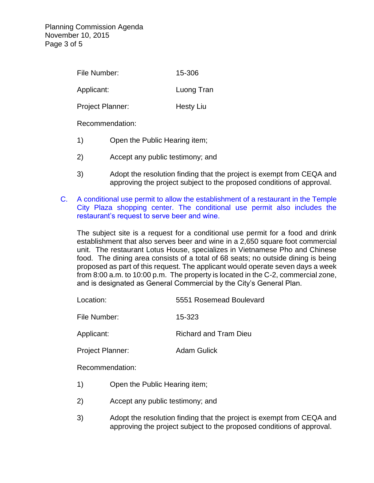| File Number:            | 15-306           |
|-------------------------|------------------|
| Applicant:              | Luong Tran       |
| <b>Project Planner:</b> | <b>Hesty Liu</b> |

Recommendation:

- 1) Open the Public Hearing item;
- 2) Accept any public testimony; and
- 3) Adopt the resolution finding that the project is exempt from CEQA and approving the project subject to the proposed conditions of approval.
- C. [A conditional use permit to allow the establishment of a restaurant in the Temple](http://ca-templecity.civicplus.com/DocumentCenter/View/4834)  [City Plaza shopping center. The conditional use permit also includes the](http://ca-templecity.civicplus.com/DocumentCenter/View/4834)  [restaurant's request to serve beer and wine.](http://ca-templecity.civicplus.com/DocumentCenter/View/4834)

The subject site is a request for a conditional use permit for a food and drink establishment that also serves beer and wine in a 2,650 square foot commercial unit. The restaurant Lotus House, specializes in Vietnamese Pho and Chinese food. The dining area consists of a total of 68 seats; no outside dining is being proposed as part of this request. The applicant would operate seven days a week from 8:00 a.m. to 10:00 p.m. The property is located in the C-2, commercial zone, and is designated as General Commercial by the City's General Plan.

| Location:    | 5551 Rosemead Boulevard      |  |
|--------------|------------------------------|--|
| File Number: | 15-323                       |  |
| Applicant:   | <b>Richard and Tram Dieu</b> |  |

Project Planner: Adam Gulick

Recommendation:

- 1) Open the Public Hearing item;
- 2) Accept any public testimony; and
- 3) Adopt the resolution finding that the project is exempt from CEQA and approving the project subject to the proposed conditions of approval.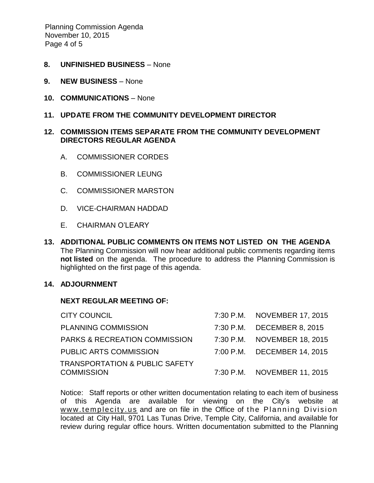Planning Commission Agenda November 10, 2015 Page 4 of 5

- **8. UNFINISHED BUSINESS** None
- **9. NEW BUSINESS** None
- **10. COMMUNICATIONS** None
- **11. UPDATE FROM THE COMMUNITY DEVELOPMENT DIRECTOR**

### **12. COMMISSION ITEMS SEPARATE FROM THE COMMUNITY DEVELOPMENT DIRECTORS REGULAR AGENDA**

- A. COMMISSIONER CORDES
- B. COMMISSIONER LEUNG
- C. COMMISSIONER MARSTON
- D. VICE-CHAIRMAN HADDAD
- E. CHAIRMAN O'LEARY
- **13. ADDITIONAL PUBLIC COMMENTS ON ITEMS NOT LISTED ON THE AGENDA** The Planning Commission will now hear additional public comments regarding items **not listed** on the agenda. The procedure to address the Planning Commission is highlighted on the first page of this agenda.

#### **14. ADJOURNMENT**

#### **NEXT REGULAR MEETING OF:**

| <b>CITY COUNCIL</b>                                            | 7:30 P.M. NOVEMBER 17, 2015 |
|----------------------------------------------------------------|-----------------------------|
| <b>PLANNING COMMISSION</b>                                     | 7:30 P.M. DECEMBER 8, 2015  |
| <b>PARKS &amp; RECREATION COMMISSION</b>                       | 7:30 P.M. NOVEMBER 18, 2015 |
| PUBLIC ARTS COMMISSION                                         | 7:00 P.M. DECEMBER 14, 2015 |
| <b>TRANSPORTATION &amp; PUBLIC SAFETY</b><br><b>COMMISSION</b> | 7:30 P.M. NOVEMBER 11, 2015 |
|                                                                |                             |

Notice: Staff reports or other written documentation relating to each item of business of this Agenda are available for viewing on the City's website at www.templecity.us and are on file in the Office of the Planning Division located at City Hall, 9701 Las Tunas Drive, Temple City, California, and available for review during regular office hours. Written documentation submitted to the Planning